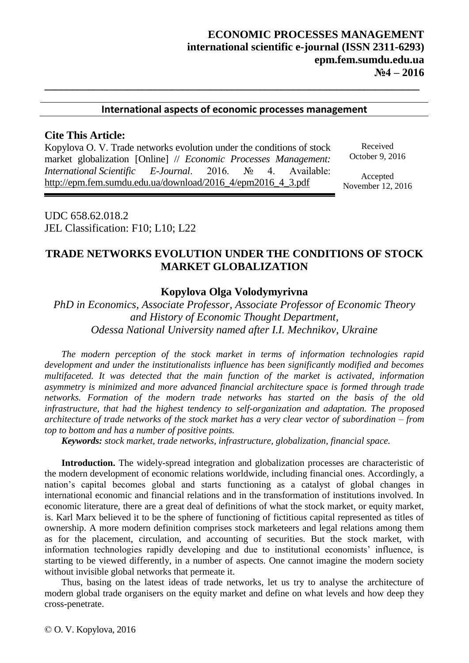### **International aspects of economic processes management**

**\_\_\_\_\_\_\_\_\_\_\_\_\_\_\_\_\_\_\_\_\_\_\_\_\_\_\_\_\_\_\_\_\_\_\_\_\_\_\_\_\_\_\_\_\_\_\_\_\_\_\_\_\_\_\_\_\_\_\_\_\_\_\_\_\_\_\_\_**

## **Cite This Article:**

Kopylova O. V. Trade networks evolution under the conditions of stock market globalization [Online] // *Economic Processes Management: International Scientific E-Journal*. 2016. № 4. Available: http://epm.fem.sumdu.edu.ua/download/2016\_4/epm2016\_4\_3.pdf

Received October 9, 2016

Accepted November 12, 2016

UDC 658.62.018.2 JEL Classification: F10; L10; L22

# **TRADE NETWORKS EVOLUTION UNDER THE CONDITIONS OF STOCK MARKET GLOBALIZATION**

### **Kopylova Olga Volodymyrivna**

*PhD in Economics, Associate Professor, Associate Professor of Economic Theory and History of Economic Thought Department, Odessa National University named after I.I. Mechnikov, Ukraine*

*The modern perception of the stock market in terms of information technologies rapid development and under the institutionalists influence has been significantly modified and becomes multifaceted. It was detected that the main function of the market is activated, information asymmetry is minimized and more advanced financial architecture space is formed through trade networks. Formation of the modern trade networks has started on the basis of the old infrastructure, that had the highest tendency to self-organization and adaptation. The proposed architecture of trade networks of the stock market has a very clear vector of subordination – from top to bottom and has a number of positive points.*

*Keywords: stock market, trade networks, infrastructure, globalization, financial space.*

**Introduction.** The widely-spread integration and globalization processes are characteristic of the modern development of economic relations worldwide, including financial ones. Accordingly, a nation's capital becomes global and starts functioning as a catalyst of global changes in international economic and financial relations and in the transformation of institutions involved. In economic literature, there are a great deal of definitions of what the stock market, or equity market, is. Karl Marx believed it to be the sphere of functioning of fictitious capital represented as titles of ownership. A more modern definition comprises stock marketeers and legal relations among them as for the placement, circulation, and accounting of securities. But the stock market, with information technologies rapidly developing and due to institutional economists' influence, is starting to be viewed differently, in a number of aspects. One cannot imagine the modern society without invisible global networks that permeate it.

Thus, basing on the latest ideas of trade networks, let us try to analyse the architecture of modern global trade organisers on the equity market and define on what levels and how deep they cross-penetrate.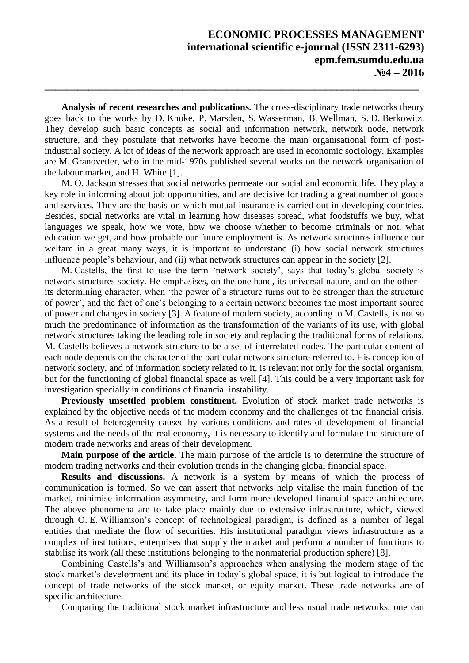**Analysis of recent researches and publications.** The cross-disciplinary trade networks theory goes back to the works by D. Knoke, P. Marsden, S. Wasserman, B. Wellman, S. D. Berkowitz. They develop such basic concepts as social and information network, network node, network structure, and they postulate that networks have become the main organisational form of postindustrial society. A lot of ideas of the network approach are used in economic sociology. Examples are M. Granovetter, who in the mid-1970s published several works on the network organisation of the labour market, and H. White [1].

**\_\_\_\_\_\_\_\_\_\_\_\_\_\_\_\_\_\_\_\_\_\_\_\_\_\_\_\_\_\_\_\_\_\_\_\_\_\_\_\_\_\_\_\_\_\_\_\_\_\_\_\_\_\_\_\_\_\_\_\_\_\_\_\_\_\_\_\_**

M. O. Jackson stresses that social networks permeate our social and economic life. They play a key role in informing about job opportunities, and are decisive for trading a great number of goods and services. They are the basis on which mutual insurance is carried out in developing countries. Besides, social networks are vital in learning how diseases spread, what foodstuffs we buy, what languages we speak, how we vote, how we choose whether to become criminals or not, what education we get, and how probable our future employment is. As network structures influence our welfare in a great many ways, it is important to understand (i) how social network structures influence people's behaviour, and (ii) what network structures can appear in the society [2].

M. Castells, the first to use the term 'network society', says that today's global society is network structures society. He emphasises, on the one hand, its universal nature, and on the other – its determining character, when 'the power of a structure turns out to be stronger than the structure of power', and the fact of one's belonging to a certain network becomes the most important source of power and changes in society [3]. A feature of modern society, according to M. Castells, is not so much the predominance of information as the transformation of the variants of its use, with global network structures taking the leading role in society and replacing the traditional forms of relations. M. Castells believes a network structure to be a set of interrelated nodes. The particular content of each node depends on the character of the particular network structure referred to. His conception of network society, and of information society related to it, is relevant not only for the social organism, but for the functioning of global financial space as well [4]. This could be a very important task for investigation specially in conditions of financial instability.

**Previously unsettled problem constituent.** Evolution of stock market trade networks is explained by the objective needs of the modern economy and the challenges of the financial crisis. As a result of heterogeneity caused by various conditions and rates of development of financial systems and the needs of the real economy, it is necessary to identify and formulate the structure of modern trade networks and areas of their development.

**Main purpose of the article.** The main purpose of the article is to determine the structure of modern trading networks and their evolution trends in the changing global financial space.

**Results and discussions.** A network is a system by means of which the process of communication is formed. So we can assert that networks help vitalise the main function of the market, minimise information asymmetry, and form more developed financial space architecture. The above phenomena are to take place mainly due to extensive infrastructure, which, viewed through O. E. Williamson's concept of technological paradigm, is defined as a number of legal entities that mediate the flow of securities. His institutional paradigm views infrastructure as a complex of institutions, enterprises that supply the market and perform a number of functions to stabilise its work (all these institutions belonging to the nonmaterial production sphere) [8].

Combining Castells's and Williamson's approaches when analysing the modern stage of the stock market's development and its place in today's global space, it is but logical to introduce the concept of trade networks of the stock market, or equity market. These trade networks are of specific architecture.

Comparing the traditional stock market infrastructure and less usual trade networks, one can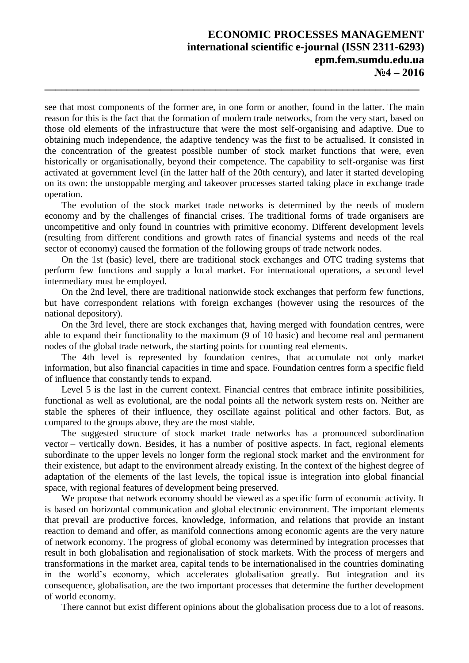see that most components of the former are, in one form or another, found in the latter. The main reason for this is the fact that the formation of modern trade networks, from the very start, based on those old elements of the infrastructure that were the most self-organising and adaptive. Due to obtaining much independence, the adaptive tendency was the first to be actualised. It consisted in the concentration of the greatest possible number of stock market functions that were, even historically or organisationally, beyond their competence. The capability to self-organise was first activated at government level (in the latter half of the 20th century), and later it started developing on its own: the unstoppable merging and takeover processes started taking place in exchange trade operation.

**\_\_\_\_\_\_\_\_\_\_\_\_\_\_\_\_\_\_\_\_\_\_\_\_\_\_\_\_\_\_\_\_\_\_\_\_\_\_\_\_\_\_\_\_\_\_\_\_\_\_\_\_\_\_\_\_\_\_\_\_\_\_\_\_\_\_\_\_**

The evolution of the stock market trade networks is determined by the needs of modern economy and by the challenges of financial crises. The traditional forms of trade organisers are uncompetitive and only found in countries with primitive economy. Different development levels (resulting from different conditions and growth rates of financial systems and needs of the real sector of economy) caused the formation of the following groups of trade network nodes.

On the 1st (basic) level, there are traditional stock exchanges and OTC trading systems that perform few functions and supply a local market. For international operations, a second level intermediary must be employed.

On the 2nd level, there are traditional nationwide stock exchanges that perform few functions, but have correspondent relations with foreign exchanges (however using the resources of the national depository).

On the 3rd level, there are stock exchanges that, having merged with foundation centres, were able to expand their functionality to the maximum (9 of 10 basic) and become real and permanent nodes of the global trade network, the starting points for counting real elements.

The 4th level is represented by foundation centres, that accumulate not only market information, but also financial capacities in time and space. Foundation centres form a specific field of influence that constantly tends to expand.

Level 5 is the last in the current context. Financial centres that embrace infinite possibilities, functional as well as evolutional, are the nodal points all the network system rests on. Neither are stable the spheres of their influence, they oscillate against political and other factors. But, as compared to the groups above, they are the most stable.

The suggested structure of stock market trade networks has a pronounced subordination vector – vertically down. Besides, it has a number of positive aspects. In fact, regional elements subordinate to the upper levels no longer form the regional stock market and the environment for their existence, but adapt to the environment already existing. In the context of the highest degree of adaptation of the elements of the last levels, the topical issue is integration into global financial space, with regional features of development being preserved.

We propose that network economy should be viewed as a specific form of economic activity. It is based on horizontal communication and global electronic environment. The important elements that prevail are productive forces, knowledge, information, and relations that provide an instant reaction to demand and offer, as manifold connections among economic agents are the very nature of network economy. The progress of global economy was determined by integration processes that result in both globalisation and regionalisation of stock markets. With the process of mergers and transformations in the market area, capital tends to be internationalised in the countries dominating in the world's economy, which accelerates globalisation greatly. But integration and its consequence, globalisation, are the two important processes that determine the further development of world economy.

There cannot but exist different opinions about the globalisation process due to a lot of reasons.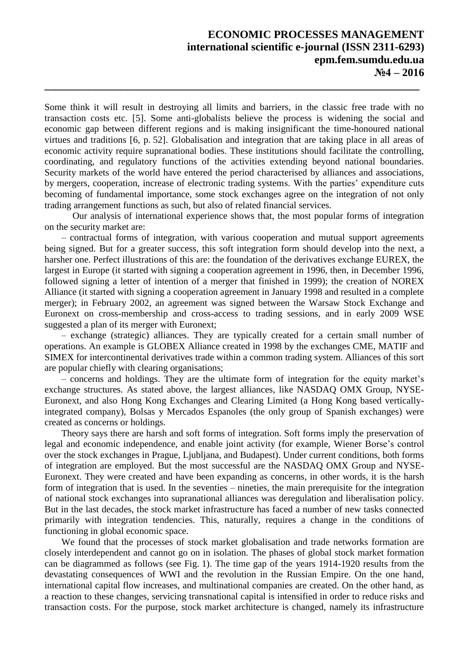# **ECONOMIC PROCESSES MANAGEMENT international scientific e-journal (ІSSN 2311-6293) epm.fem.sumdu.edu.ua №4 – 2016**

Some think it will result in destroying all limits and barriers, in the classic free trade with no transaction costs etc. [5]. Some anti-globalists believe the process is widening the social and economic gap between different regions and is making insignificant the time-honoured national virtues and traditions [6, p. 52]. Globalisation and integration that are taking place in all areas of economic activity require supranational bodies. These institutions should facilitate the controlling, coordinating, and regulatory functions of the activities extending beyond national boundaries. Security markets of the world have entered the period characterised by alliances and associations, by mergers, cooperation, increase of electronic trading systems. With the parties' expenditure cuts becoming of fundamental importance, some stock exchanges agree on the integration of not only trading arrangement functions as such, but also of related financial services.

**\_\_\_\_\_\_\_\_\_\_\_\_\_\_\_\_\_\_\_\_\_\_\_\_\_\_\_\_\_\_\_\_\_\_\_\_\_\_\_\_\_\_\_\_\_\_\_\_\_\_\_\_\_\_\_\_\_\_\_\_\_\_\_\_\_\_\_\_**

Our analysis of international experience shows that, the most popular forms of integration on the security market are:

– contractual forms of integration, with various cooperation and mutual support agreements being signed. But for a greater success, this soft integration form should develop into the next, a harsher one. Perfect illustrations of this are: the foundation of the derivatives exchange EUREX, the largest in Europe (it started with signing a cooperation agreement in 1996, then, in December 1996, followed signing a letter of intention of a merger that finished in 1999); the creation of NOREX Alliance (it started with signing a cooperation agreement in January 1998 and resulted in a complete merger); in February 2002, an agreement was signed between the Warsaw Stock Exchange and Euronext on cross-membership and cross-access to trading sessions, and in early 2009 WSE suggested a plan of its merger with Euronext;

– exchange (strategic) alliances. They are typically created for a certain small number of operations. An example is GLOBEX Alliance created in 1998 by the exchanges CME, MATIF and SIMEX for intercontinental derivatives trade within a common trading system. Alliances of this sort are popular chiefly with clearing organisations;

– concerns and holdings. They are the ultimate form of integration for the equity market's exchange structures. As stated above, the largest alliances, like NASDAQ OMX Group, NYSE-Euronext, and also Hong Kong Exchanges and Clearing Limited (a Hong Kong based verticallyintegrated company), Bolsas y Mercados Espanoles (the only group of Spanish exchanges) were created as concerns or holdings.

Theory says there are harsh and soft forms of integration. Soft forms imply the preservation of legal and economic independence, and enable joint activity (for example, Wiener Borse's control over the stock exchanges in Prague, Ljubljana, and Budapest). Under current conditions, both forms of integration are employed. But the most successful are the NASDAQ OMX Group and NYSE-Euronext. They were created and have been expanding as concerns, in other words, it is the harsh form of integration that is used. In the seventies – nineties, the main prerequisite for the integration of national stock exchanges into supranational alliances was deregulation and liberalisation policy. But in the last decades, the stock market infrastructure has faced a number of new tasks connected primarily with integration tendencies. This, naturally, requires a change in the conditions of functioning in global economic space.

We found that the processes of stock market globalisation and trade networks formation are closely interdependent and cannot go on in isolation. The phases of global stock market formation can be diagrammed as follows (see Fig. 1). The time gap of the years 1914-1920 results from the devastating consequences of WWI and the revolution in the Russian Empire. On the one hand, international capital flow increases, and multinational companies are created. On the other hand, as a reaction to these changes, servicing transnational capital is intensified in order to reduce risks and transaction costs. For the purpose, stock market architecture is changed, namely its infrastructure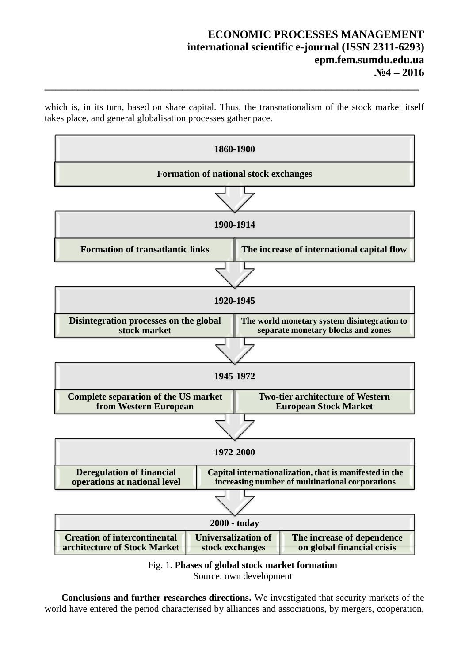# **ECONOMIC PROCESSES MANAGEMENT international scientific e-journal (ІSSN 2311-6293) epm.fem.sumdu.edu.ua №4 – 2016**

which is, in its turn, based on share capital. Thus, the transnationalism of the stock market itself takes place, and general globalisation processes gather pace.

**\_\_\_\_\_\_\_\_\_\_\_\_\_\_\_\_\_\_\_\_\_\_\_\_\_\_\_\_\_\_\_\_\_\_\_\_\_\_\_\_\_\_\_\_\_\_\_\_\_\_\_\_\_\_\_\_\_\_\_\_\_\_\_\_\_\_\_\_**





**Conclusions and further researches directions.** We investigated that security markets of the world have entered the period characterised by alliances and associations, by mergers, cooperation,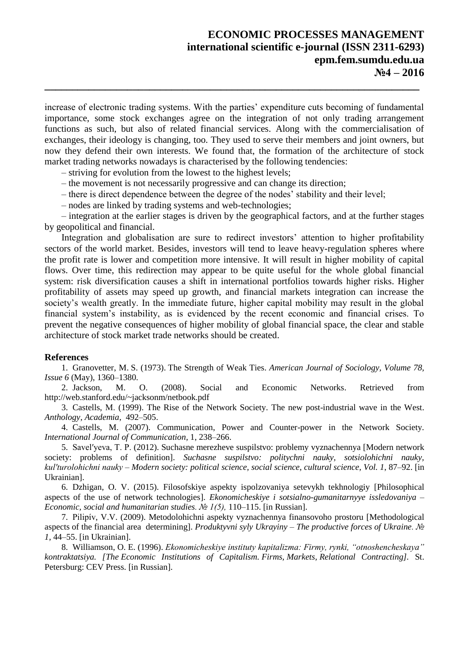increase of electronic trading systems. With the parties' expenditure cuts becoming of fundamental importance, some stock exchanges agree on the integration of not only trading arrangement functions as such, but also of related financial services. Along with the commercialisation of exchanges, their ideology is changing, too. They used to serve their members and joint owners, but now they defend their own interests. We found that, the formation of the architecture of stock market trading networks nowadays is characterised by the following tendencies:

**\_\_\_\_\_\_\_\_\_\_\_\_\_\_\_\_\_\_\_\_\_\_\_\_\_\_\_\_\_\_\_\_\_\_\_\_\_\_\_\_\_\_\_\_\_\_\_\_\_\_\_\_\_\_\_\_\_\_\_\_\_\_\_\_\_\_\_\_**

– striving for evolution from the lowest to the highest levels;

- the movement is not necessarily progressive and can change its direction;
- there is direct dependence between the degree of the nodes' stability and their level;
- nodes are linked by trading systems and web-technologies;

– integration at the earlier stages is driven by the geographical factors, and at the further stages by geopolitical and financial.

Integration and globalisation are sure to redirect investors' attention to higher profitability sectors of the world market. Besides, investors will tend to leave heavy-regulation spheres where the profit rate is lower and competition more intensive. It will result in higher mobility of capital flows. Over time, this redirection may appear to be quite useful for the whole global financial system: risk diversification causes a shift in international portfolios towards higher risks. Higher profitability of assets may speed up growth, and financial markets integration can increase the society's wealth greatly. In the immediate future, higher capital mobility may result in the global financial system's instability, as is evidenced by the recent economic and financial crises. To prevent the negative consequences of higher mobility of global financial space, the clear and stable architecture of stock market trade networks should be created.

#### **References**

1. Granovetter, M. S. (1973). The Strength of Weak Ties. *American Journal of Sociology, Volume 78, Issue 6* (May), 1360–1380.

2. Jackson, M. O. (2008). Social and Economic Networks. Retrieved from http://web.stanford.edu/~jacksonm/netbook.pdf

3. Castells, М. (1999). The Rise of the Network Society. The new post-industrial wave in the West. *Anthology, Academia*, 492–505.

4. Castells, M. (2007). Communication, Power and Counter-power in the Network Society. *International Journal of Communication,* 1, 238–266.

5. Savelʹyeva, T. P. (2012). Suchasne merezheve suspilstvo: problemy vyznachennya [Modern network society: problems of definition]. *Suchasne suspilstvo: politychni nauky, sotsiolohichni nauky, kulʹturolohichni nauky – Modern society: political science, social science, cultural science, Vol. 1*, 87–92. [in Ukrainian].

6. Dzhigan, O. V. (2015). Filosofskiye aspekty ispolzovaniya setevykh tekhnologiy [Philosophical aspects of the use of network technologies]. *Ekonomicheskiye i sotsialno-gumanitarnyye issledovaniya – Economic, social and humanitarian studies. № 1(5),* 110–115. [in Russian].

7. Pilipív, V.V. (2009). Metodolohichni aspekty vyznachennya finansovoho prostoru [Methodological aspects of the financial area determining]. *Produktyvni syly Ukrayiny – The productive forces of Ukraine. № 1,* 44–55. [in Ukrainian].

8. Williamson, O. E. (1996). *Ekonomicheskiye instituty kapitalizma: Firmy, rynki, "otnoshencheskaya" kontraktatsiya. [The Economic Institutions of Capitalism. Firms, Markets, Relational Contracting].* St. Petersburg: CEV Press. [in Russian].